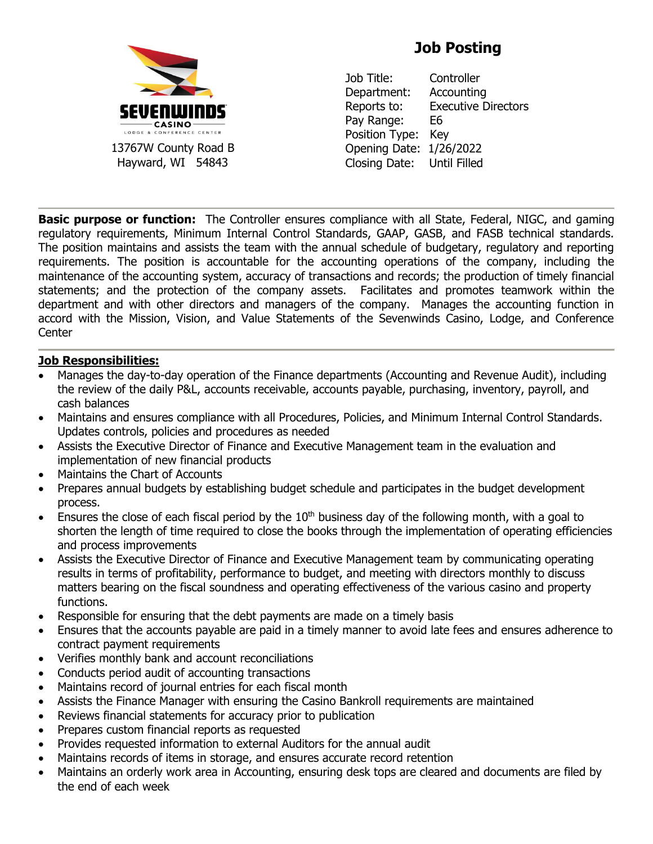

# **Job Posting**

Job Title: Controller Department: Accounting Reports to: Executive Directors Pay Range: E6 Position Type: Key Opening Date: 1/26/2022 Closing Date: Until Filled

**Basic purpose or function:** The Controller ensures compliance with all State, Federal, NIGC, and gaming regulatory requirements, Minimum Internal Control Standards, GAAP, GASB, and FASB technical standards. The position maintains and assists the team with the annual schedule of budgetary, regulatory and reporting requirements. The position is accountable for the accounting operations of the company, including the maintenance of the accounting system, accuracy of transactions and records; the production of timely financial statements; and the protection of the company assets. Facilitates and promotes teamwork within the department and with other directors and managers of the company. Manages the accounting function in accord with the Mission, Vision, and Value Statements of the Sevenwinds Casino, Lodge, and Conference Center

#### **Job Responsibilities:**

- Manages the day-to-day operation of the Finance departments (Accounting and Revenue Audit), including the review of the daily P&L, accounts receivable, accounts payable, purchasing, inventory, payroll, and cash balances
- Maintains and ensures compliance with all Procedures, Policies, and Minimum Internal Control Standards. Updates controls, policies and procedures as needed
- Assists the Executive Director of Finance and Executive Management team in the evaluation and implementation of new financial products
- Maintains the Chart of Accounts
- Prepares annual budgets by establishing budget schedule and participates in the budget development process.
- Ensures the close of each fiscal period by the  $10<sup>th</sup>$  business day of the following month, with a goal to shorten the length of time required to close the books through the implementation of operating efficiencies and process improvements
- Assists the Executive Director of Finance and Executive Management team by communicating operating results in terms of profitability, performance to budget, and meeting with directors monthly to discuss matters bearing on the fiscal soundness and operating effectiveness of the various casino and property functions.
- Responsible for ensuring that the debt payments are made on a timely basis
- Ensures that the accounts payable are paid in a timely manner to avoid late fees and ensures adherence to contract payment requirements
- Verifies monthly bank and account reconciliations
- Conducts period audit of accounting transactions
- Maintains record of journal entries for each fiscal month
- Assists the Finance Manager with ensuring the Casino Bankroll requirements are maintained
- Reviews financial statements for accuracy prior to publication
- Prepares custom financial reports as requested
- Provides requested information to external Auditors for the annual audit
- Maintains records of items in storage, and ensures accurate record retention
- Maintains an orderly work area in Accounting, ensuring desk tops are cleared and documents are filed by the end of each week